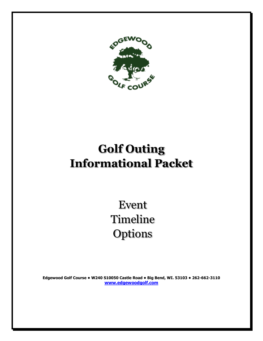

## **Golf Outing Informational Packet**

Event Timeline **Options** 

**Edgewood Golf Course • W240 S10050 Castle Road • Big Bend, WI. 53103 • 262-662-3110 [www.edgewoodgolf.com](http://www.edgewoodgolf.com/)**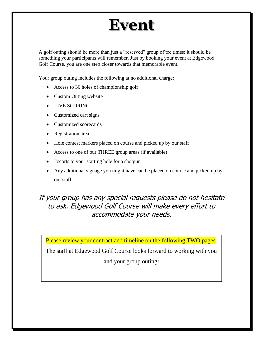## **Event**

A golf outing should be more than just a "reserved" group of tee times; it should be something your participants will remember. Just by booking your event at Edgewood Golf Course, you are one step closer towards that memorable event.

Your group outing includes the following at no additional charge:

- Access to 36 holes of championship golf
- Custom Outing website
- LIVE SCORING
- Customized cart signs
- Customized scorecards
- Registration area
- Hole contest markers placed on course and picked up by our staff
- Access to one of our THREE group areas (if available)
- Escorts to your starting hole for a shotgun
- Any additional signage you might have can be placed on course and picked up by our staff

#### If your group has any special requests please do not hesitate to ask. Edgewood Golf Course will make every effort to accommodate your needs.

Please review your contract and timeline on the following TWO pages.

The staff at Edgewood Golf Course looks forward to working with you and your group outing!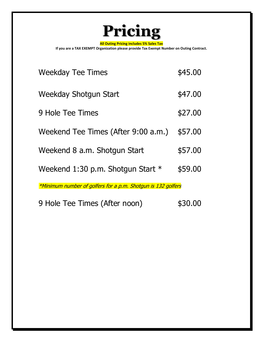

**All Outing Pricing includes 5% Sales Tax**

**If you are a TAX EXEMPT Organization please provide Tax Exempt Number on Outing Contract.**

| <b>Weekday Tee Times</b>                                     | \$45.00 |  |
|--------------------------------------------------------------|---------|--|
| Weekday Shotgun Start                                        | \$47.00 |  |
| 9 Hole Tee Times                                             | \$27.00 |  |
| Weekend Tee Times (After 9:00 a.m.)                          | \$57.00 |  |
| Weekend 8 a.m. Shotgun Start                                 | \$57.00 |  |
| Weekend 1:30 p.m. Shotgun Start $*$                          | \$59.00 |  |
| *Minimum number of golfers for a p.m. Shotgun is 132 golfers |         |  |

9 Hole Tee Times (After noon) \$30.00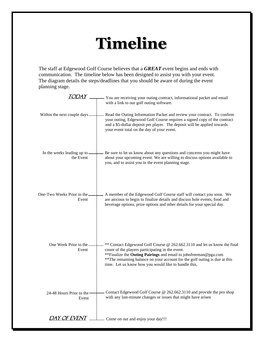## **Timeline**

The staff at Edgewood Golf Course believes that a *GREAT* event begins and ends with communication. The timeline below has been designed to assist you with your event. The diagram details the steps/deadlines that you should be aware of during the event planning stage.

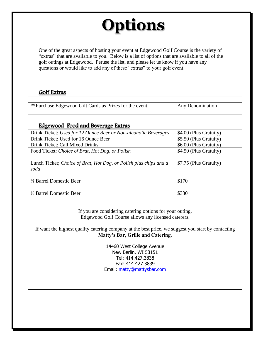## **Options**

One of the great aspects of hosting your event at Edgewood Golf Course is the variety of "extras" that are available to you. Below is a list of options that are available to all of the golf outings at Edgewood. Peruse the list, and please let us know if you have any questions or would like to add any of these "extras" to your golf event.

#### Golf Extras

| ** Purchase Edgewood Gift Cards as Prizes for the event. | Any Denomination |
|----------------------------------------------------------|------------------|
|                                                          |                  |

#### Edgewood Food and Beverage Extras

| Drink Ticket: Used for 12 Ounce Beer or Non-alcoholic Beverages   | \$4.00 (Plus Gratuity) |
|-------------------------------------------------------------------|------------------------|
| Drink Ticket: Used for 16 Ounce Beer                              | \$5.50 (Plus Gratuity) |
| Drink Ticket: Call Mixed Drinks                                   | \$6.00 (Plus Gratuity) |
| Food Ticket: Choice of Brat, Hot Dog, or Polish                   | \$4.50 (Plus Gratuity) |
|                                                                   |                        |
| Lunch Ticket; Choice of Brat, Hot Dog, or Polish plus chips and a | \$7.75 (Plus Gratuity) |
| soda                                                              |                        |
|                                                                   |                        |
|                                                                   |                        |
| 1/4 Barrel Domestic Beer                                          | \$170                  |
|                                                                   |                        |
| $\frac{1}{2}$ Barrel Domestic Beer                                | \$330                  |

If you are considering catering options for your outing, Edgewood Golf Course allows any licensed caterers.

If want the highest quality catering company at the best price, we suggest you start by contacting **Matty's Bar, Grille and Catering**.

> 14460 West College Avenue New Berlin, WI 53151 Tel: 414.427.3838 Fax: 414.427.3839 Email: [matty@mattysbar.com](mailto:matty@mattysbar.com)